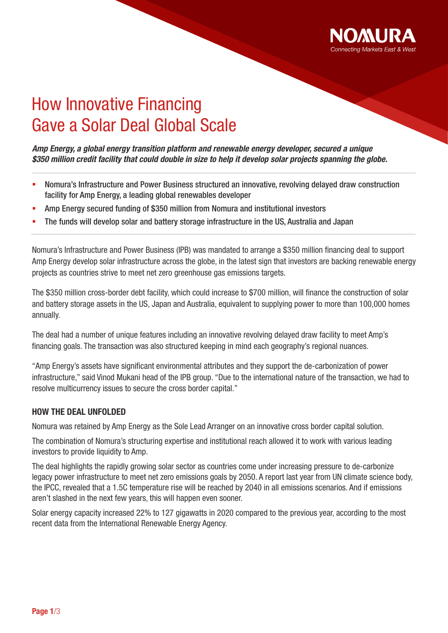

# How Innovative Financing Gave a Solar Deal Global Scale

*Amp Energy, a global energy transition platform and renewable energy developer, secured a unique \$350 million credit facility that could double in size to help it develop solar projects spanning the globe.*

- Nomura's Infrastructure and Power Business structured an innovative, revolving delayed draw construction facility for Amp Energy, a leading global renewables developer
- Amp Energy secured funding of \$350 million from Nomura and institutional investors
- The funds will develop solar and battery storage infrastructure in the US, Australia and Japan

Nomura's Infrastructure and Power Business (IPB) was mandated to arrange a \$350 million financing deal to support Amp Energy develop solar infrastructure across the globe, in the latest sign that investors are backing renewable energy projects as countries strive to meet net zero greenhouse gas emissions targets.

The \$350 million cross-border debt facility, which could increase to \$700 million, will finance the construction of solar and battery storage assets in the US, Japan and Australia, equivalent to supplying power to more than 100,000 homes annually.

The deal had a number of unique features including an innovative revolving delayed draw facility to meet Amp's financing goals. The transaction was also structured keeping in mind each geography's regional nuances.

"Amp Energy's assets have significant environmental attributes and they support the de-carbonization of power infrastructure," said Vinod Mukani head of the IPB group. "Due to the international nature of the transaction, we had to resolve multicurrency issues to secure the cross border capital."

# HOW THE DEAL UNFOLDED

Nomura was retained by Amp Energy as the Sole Lead Arranger on an innovative cross border capital solution.

The combination of Nomura's structuring expertise and institutional reach allowed it to work with various leading investors to provide liquidity to Amp.

The deal highlights the rapidly growing solar sector as countries come under increasing pressure to de-carbonize legacy power infrastructure to meet net zero emissions goals by 2050. A report last year from UN climate science body, the IPCC, revealed that a 1.5C temperature rise will be reached by 2040 in all emissions scenarios. And if emissions aren't slashed in the next few years, this will happen even sooner.

Solar energy capacity increased 22% to 127 gigawatts in 2020 compared to the previous year, according to the most recent data from the International Renewable Energy Agency.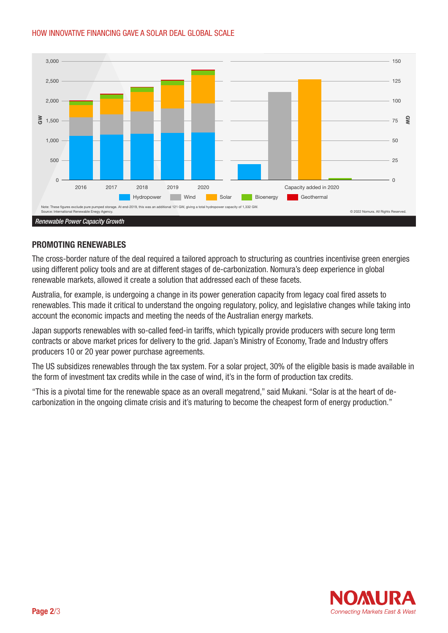# HOW INNOVATIVE FINANCING GAVE A SOLAR DEAL GLOBAL SCALE HOW INNOVATIVE FINANCING GAVE A SOLAR DEAL GLOBAL SCALE



# PROMOTING RENEWABLES

The cross-border nature of the deal required a tailored approach to structuring as countries incentivise green energies using different policy tools and are at different stages of de-carbonization. Nomura's deep experience in global renewable markets, allowed it create a solution that addressed each of these facets.

Australia, for example, is undergoing a change in its power generation capacity from legacy coal fired assets to renewables. This made it critical to understand the ongoing regulatory, policy, and legislative changes while taking into account the economic impacts and meeting the needs of the Australian energy markets.

Japan supports renewables with so-called feed-in tariffs, which typically provide producers with secure long term contracts or above market prices for delivery to the grid. Japan's Ministry of Economy, Trade and Industry offers producers 10 or 20 year power purchase agreements.

The US subsidizes renewables through the tax system. For a solar project, 30% of the eligible basis is made available in the form of investment tax credits while in the case of wind, it's in the form of production tax credits.

"This is a pivotal time for the renewable space as an overall megatrend," said Mukani. "Solar is at the heart of decarbonization in the ongoing climate crisis and it's maturing to become the cheapest form of energy production."